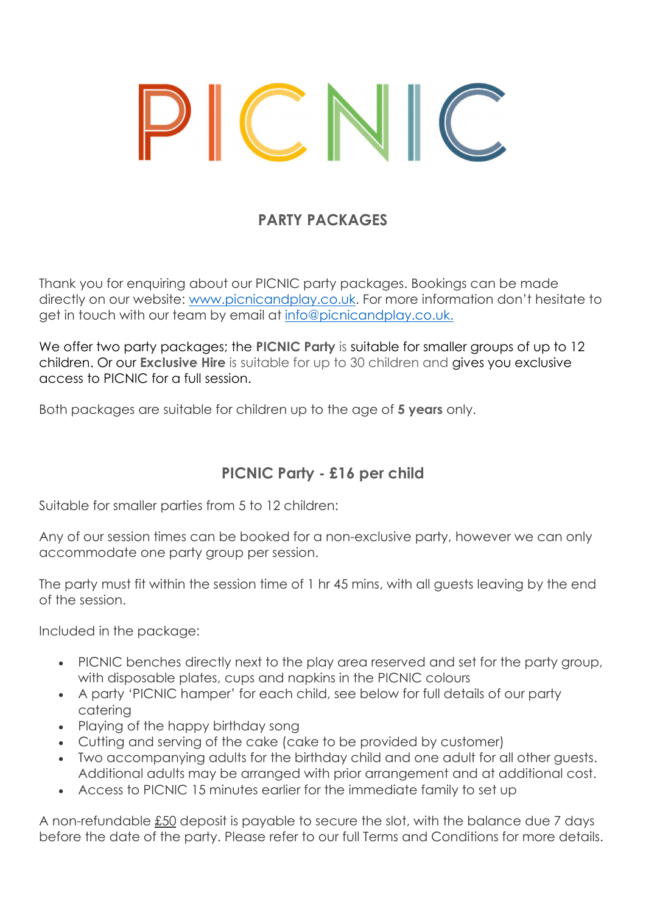# PARTY PACKAGES

Thank you for enquiring about our PICNIC party packages. Bookings can be made directly on our website: www.picnicandplay.co.uk. For more information don't hesitate to get in touch with our team by email at info@picnicandplay.co.uk.

We offer two party packages; the PICNIC Party is suitable for smaller groups of up to 12 children. Or our **Exclusive Hire** is suitable for up to 30 children and gives you exclusive access to PICNIC for a full session.

Both packages are suitable for children up to the age of 5 years only.

## PICNIC Party - £16 per child

Suitable for smaller parties from 5 to 12 children:

Any of our session times can be booked for a non-exclusive party, however we can only accommodate one party group per session.

The party must fit within the session time of 1 hr 45 mins, with all guests leaving by the end of the session.

Included in the package:

- PICNIC benches directly next to the play area reserved and set for the party group, with disposable plates, cups and napkins in the PICNIC colours
- A party 'PICNIC hamper' for each child, see below for full details of our party catering
- Playing of the happy birthday song
- Cutting and serving of the cake (cake to be provided by customer)
- Two accompanying adults for the birthday child and one adult for all other guests. Additional adults may be arranged with prior arrangement and at additional cost.
- Access to PICNIC 15 minutes earlier for the immediate family to set up

A non-refundable £50 deposit is payable to secure the slot, with the balance due 7 days before the date of the party. Please refer to our full Terms and Conditions for more details.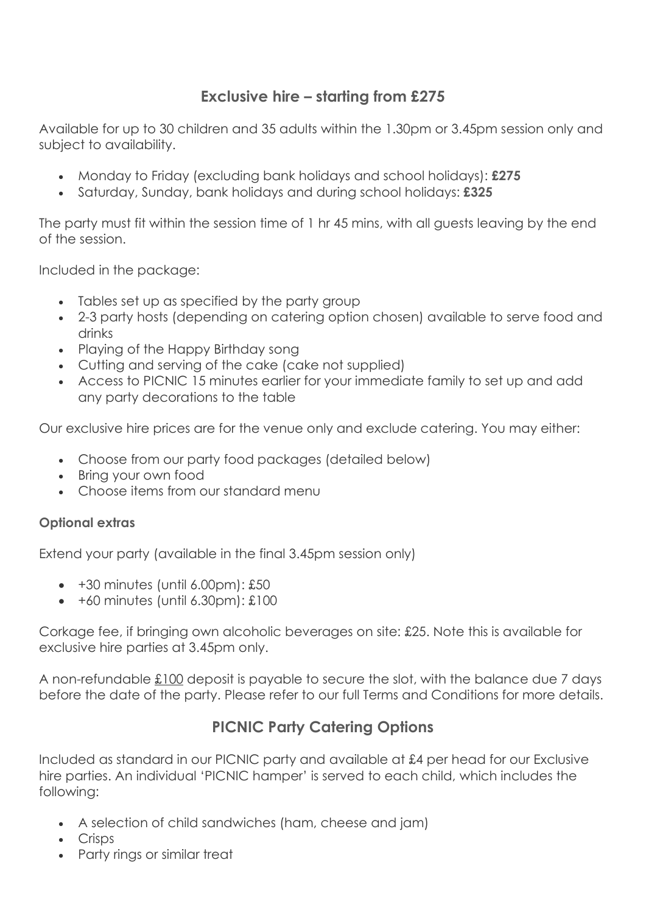#### Exclusive hire – starting from £275

Available for up to 30 children and 35 adults within the 1.30pm or 3.45pm session only and subject to availability.

- Monday to Friday (excluding bank holidays and school holidays): £275
- Saturday, Sunday, bank holidays and during school holidays: £325

The party must fit within the session time of 1 hr 45 mins, with all guests leaving by the end of the session.

Included in the package:

- Tables set up as specified by the party group
- 2-3 party hosts (depending on catering option chosen) available to serve food and drinks
- Playing of the Happy Birthday song
- Cutting and serving of the cake (cake not supplied)
- Access to PICNIC 15 minutes earlier for your immediate family to set up and add any party decorations to the table

Our exclusive hire prices are for the venue only and exclude catering. You may either:

- Choose from our party food packages (detailed below)
- Bring your own food
- Choose items from our standard menu

#### Optional extras

Extend your party (available in the final 3.45pm session only)

- $\bullet$  +30 minutes (until 6.00pm): £50
- $\bullet$  +60 minutes (until 6.30pm): £100

Corkage fee, if bringing own alcoholic beverages on site: £25. Note this is available for exclusive hire parties at 3.45pm only.

A non-refundable £100 deposit is payable to secure the slot, with the balance due 7 days before the date of the party. Please refer to our full Terms and Conditions for more details.

## PICNIC Party Catering Options

Included as standard in our PICNIC party and available at £4 per head for our Exclusive hire parties. An individual 'PICNIC hamper' is served to each child, which includes the following:

- A selection of child sandwiches (ham, cheese and jam)
- Crisps
- Party rings or similar treat